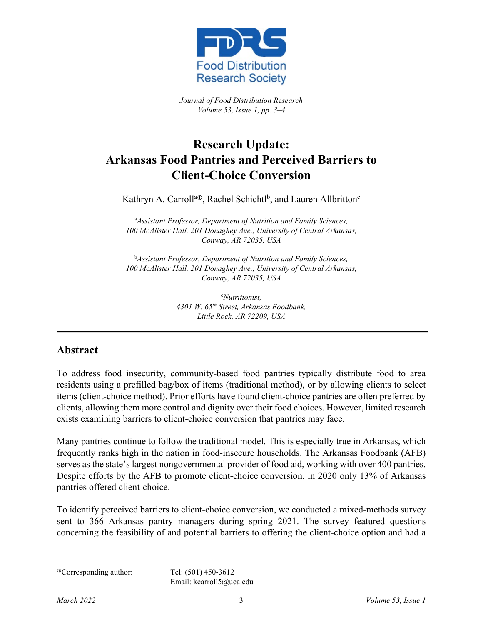

*Journal of Food Distribution Research Volume 53, Issue 1, pp. 3–4*

## **Research Update: Arkansas Food Pantries and Perceived Barriers to Client-Choice Conversion**

Kathryn A. Carroll<sup>a⊕</sup>, Rachel Schichtl<sup>b</sup>, and Lauren Allbritton<sup>c</sup>

a *Assistant Professor, Department of Nutrition and Family Sciences, 100 McAlister Hall, 201 Donaghey Ave., University of Central Arkansas, Conway, AR 72035, USA*

b *Assistant Professor, Department of Nutrition and Family Sciences, 100 McAlister Hall, 201 Donaghey Ave., University of Central Arkansas, Conway, AR 72035, USA*

> c *Nutritionist, 4301 W. 65th Street, Arkansas Foodbank, Little Rock, AR 72209, USA*

## **Abstract**

To address food insecurity, community-based food pantries typically distribute food to area residents using a prefilled bag/box of items (traditional method), or by allowing clients to select items (client-choice method). Prior efforts have found client-choice pantries are often preferred by clients, allowing them more control and dignity over their food choices. However, limited research exists examining barriers to client-choice conversion that pantries may face.

Many pantries continue to follow the traditional model. This is especially true in Arkansas, which frequently ranks high in the nation in food-insecure households. The Arkansas Foodbank (AFB) serves as the state's largest nongovernmental provider of food aid, working with over 400 pantries. Despite efforts by the AFB to promote client-choice conversion, in 2020 only 13% of Arkansas pantries offered client-choice.

To identify perceived barriers to client-choice conversion, we conducted a mixed-methods survey sent to 366 Arkansas pantry managers during spring 2021. The survey featured questions concerning the feasibility of and potential barriers to offering the client-choice option and had a

Email: kcarroll5@uca.edu

Corresponding author: Tel: (501) 450-3612